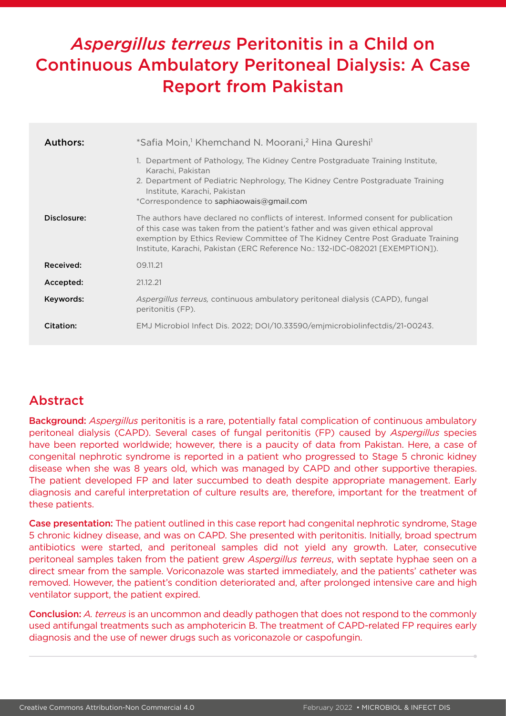# *Aspergillus terreus* Peritonitis in a Child on Continuous Ambulatory Peritoneal Dialysis: A Case Report from Pakistan

| Authors:    | *Safia Moin, <sup>1</sup> Khemchand N. Moorani, <sup>2</sup> Hina Qureshi <sup>1</sup>                                                                                                                                                                                                                                                       |
|-------------|----------------------------------------------------------------------------------------------------------------------------------------------------------------------------------------------------------------------------------------------------------------------------------------------------------------------------------------------|
|             | 1. Department of Pathology, The Kidney Centre Postgraduate Training Institute,<br>Karachi, Pakistan<br>2. Department of Pediatric Nephrology, The Kidney Centre Postgraduate Training<br>Institute, Karachi, Pakistan<br>*Correspondence to saphiaowais@gmail.com                                                                            |
| Disclosure: | The authors have declared no conflicts of interest. Informed consent for publication<br>of this case was taken from the patient's father and was given ethical approval<br>exemption by Ethics Review Committee of The Kidney Centre Post Graduate Training<br>Institute, Karachi, Pakistan (ERC Reference No.: 132-IDC-082021 [EXEMPTION]). |
| Received:   | 09.11.21                                                                                                                                                                                                                                                                                                                                     |
| Accepted:   | 21.12.21                                                                                                                                                                                                                                                                                                                                     |
| Keywords:   | <i>Aspergillus terreus, continuous ambulatory peritoneal dialysis (CAPD), fungal</i><br>peritonitis (FP).                                                                                                                                                                                                                                    |
| Citation:   | EMJ Microbiol Infect Dis. 2022; DOI/10.33590/emimicrobiolinfectdis/21-00243.                                                                                                                                                                                                                                                                 |

# Abstract

Background: *Aspergillus* peritonitis is a rare, potentially fatal complication of continuous ambulatory peritoneal dialysis (CAPD). Several cases of fungal peritonitis (FP) caused by *Aspergillus* species have been reported worldwide; however, there is a paucity of data from Pakistan. Here, a case of congenital nephrotic syndrome is reported in a patient who progressed to Stage 5 chronic kidney disease when she was 8 years old, which was managed by CAPD and other supportive therapies. The patient developed FP and later succumbed to death despite appropriate management. Early diagnosis and careful interpretation of culture results are, therefore, important for the treatment of these patients.

Case presentation: The patient outlined in this case report had congenital nephrotic syndrome, Stage 5 chronic kidney disease, and was on CAPD. She presented with peritonitis. Initially, broad spectrum antibiotics were started, and peritoneal samples did not yield any growth. Later, consecutive peritoneal samples taken from the patient grew *Aspergillus terreus*, with septate hyphae seen on a direct smear from the sample. Voriconazole was started immediately, and the patients' catheter was removed. However, the patient's condition deteriorated and, after prolonged intensive care and high ventilator support, the patient expired.

Conclusion: *A. terreus* is an uncommon and deadly pathogen that does not respond to the commonly used antifungal treatments such as amphotericin B. The treatment of CAPD-related FP requires early diagnosis and the use of newer drugs such as voriconazole or caspofungin.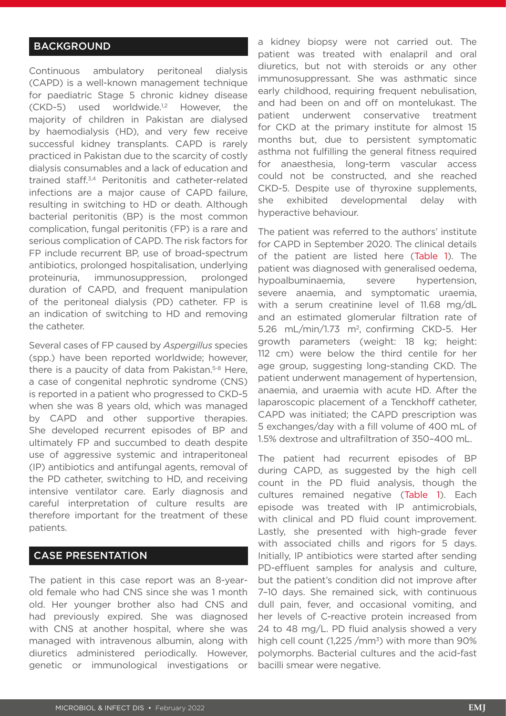# **BACKGROUND**

Continuous ambulatory peritoneal dialysis (CAPD) is a well-known management technique for paediatric Stage 5 chronic kidney disease (CKD-5) used worldwide.<sup>1,2</sup> However, the majority of children in Pakistan are dialysed by haemodialysis (HD), and very few receive successful kidney transplants. CAPD is rarely practiced in Pakistan due to the scarcity of costly dialysis consumables and a lack of education and trained staff.3,4 Peritonitis and catheter-related infections are a major cause of CAPD failure, resulting in switching to HD or death. Although bacterial peritonitis (BP) is the most common complication, fungal peritonitis (FP) is a rare and serious complication of CAPD. The risk factors for FP include recurrent BP, use of broad-spectrum antibiotics, prolonged hospitalisation, underlying proteinuria, immunosuppression, prolonged duration of CAPD, and frequent manipulation of the peritoneal dialysis (PD) catheter. FP is an indication of switching to HD and removing the catheter.

Several cases of FP caused by *Aspergillus* species (spp.) have been reported worldwide; however, there is a paucity of data from Pakistan.<sup>5-8</sup> Here, a case of congenital nephrotic syndrome (CNS) is reported in a patient who progressed to CKD-5 when she was 8 years old, which was managed by CAPD and other supportive therapies. She developed recurrent episodes of BP and ultimately FP and succumbed to death despite use of aggressive systemic and intraperitoneal (IP) antibiotics and antifungal agents, removal of the PD catheter, switching to HD, and receiving intensive ventilator care. Early diagnosis and careful interpretation of culture results are therefore important for the treatment of these patients.

# CASE PRESENTATION

The patient in this case report was an 8-yearold female who had CNS since she was 1 month old. Her younger brother also had CNS and had previously expired. She was diagnosed with CNS at another hospital, where she was managed with intravenous albumin, along with diuretics administered periodically. However, genetic or immunological investigations or a kidney biopsy were not carried out. The patient was treated with enalapril and oral diuretics, but not with steroids or any other immunosuppressant. She was asthmatic since early childhood, requiring frequent nebulisation, and had been on and off on montelukast. The patient underwent conservative treatment for CKD at the primary institute for almost 15 months but, due to persistent symptomatic asthma not fulfilling the general fitness required for anaesthesia, long-term vascular access could not be constructed, and she reached CKD-5. Despite use of thyroxine supplements, she exhibited developmental delay with hyperactive behaviour.

The patient was referred to the authors' institute for CAPD in September 2020. The clinical details of the patient are listed here (Table 1). The patient was diagnosed with generalised oedema, hypoalbuminaemia, severe hypertension, severe anaemia, and symptomatic uraemia, with a serum creatinine level of 11.68 mg/dL and an estimated glomerular filtration rate of 5.26 mL/min/1.73 m2, confirming CKD-5. Her growth parameters (weight: 18 kg; height: 112 cm) were below the third centile for her age group, suggesting long-standing CKD. The patient underwent management of hypertension, anaemia, and uraemia with acute HD. After the laparoscopic placement of a Tenckhoff catheter, CAPD was initiated; the CAPD prescription was 5 exchanges/day with a fill volume of 400 mL of 1.5% dextrose and ultrafiltration of 350–400 mL.

The patient had recurrent episodes of BP during CAPD, as suggested by the high cell count in the PD fluid analysis, though the cultures remained negative (Table 1). Each episode was treated with IP antimicrobials, with clinical and PD fluid count improvement. Lastly, she presented with high-grade fever with associated chills and rigors for 5 days. Initially, IP antibiotics were started after sending PD-effluent samples for analysis and culture, but the patient's condition did not improve after 7–10 days. She remained sick, with continuous dull pain, fever, and occasional vomiting, and her levels of C-reactive protein increased from 24 to 48 mg/L. PD fluid analysis showed a very high cell count  $(1,225/mm^3)$  with more than 90% polymorphs. Bacterial cultures and the acid-fast bacilli smear were negative.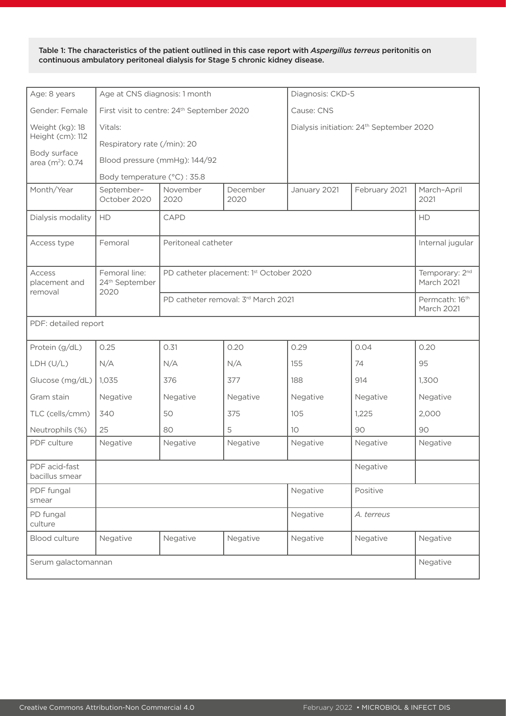Table 1: The characteristics of the patient outlined in this case report with *Aspergillus terreus* peritonitis on continuous ambulatory peritoneal dialysis for Stage 5 chronic kidney disease.

| Age: 8 years                        | Age at CNS diagnosis: 1 month                       |                                                        |                                          | Diagnosis: CKD-5                                     |               |                                          |  |  |
|-------------------------------------|-----------------------------------------------------|--------------------------------------------------------|------------------------------------------|------------------------------------------------------|---------------|------------------------------------------|--|--|
| Gender: Female                      |                                                     | First visit to centre: 24 <sup>th</sup> September 2020 |                                          | Cause: CNS                                           |               |                                          |  |  |
| Weight (kg): 18                     | Vitals:                                             |                                                        |                                          | Dialysis initiation: 24 <sup>th</sup> September 2020 |               |                                          |  |  |
| Height (cm): 112                    | Respiratory rate (/min): 20                         |                                                        |                                          |                                                      |               |                                          |  |  |
| Body surface<br>area $(m^2)$ : 0.74 | Blood pressure (mmHg): 144/92                       |                                                        |                                          |                                                      |               |                                          |  |  |
|                                     | Body temperature (°C) : 35.8                        |                                                        |                                          |                                                      |               |                                          |  |  |
| Month/Year                          | September-<br>October 2020                          | November<br>2020                                       | December<br>2020                         | January 2021                                         | February 2021 | March-April<br>2021                      |  |  |
| Dialysis modality                   | HD                                                  | CAPD                                                   | HD                                       |                                                      |               |                                          |  |  |
| Access type                         | Femoral                                             | Peritoneal catheter                                    | Internal jugular                         |                                                      |               |                                          |  |  |
| Access<br>placement and             | Femoral line:<br>24 <sup>th</sup> September<br>2020 | PD catheter placement: 1st October 2020                |                                          |                                                      |               | Temporary: 2 <sup>nd</sup><br>March 2021 |  |  |
| removal                             |                                                     | PD catheter removal: 3rd March 2021                    | Permcath: 16 <sup>th</sup><br>March 2021 |                                                      |               |                                          |  |  |
| PDF: detailed report                |                                                     |                                                        |                                          |                                                      |               |                                          |  |  |
| Protein (g/dL)                      | 0.25                                                | 0.31                                                   | 0.20                                     | 0.29                                                 | 0.04          | 0.20                                     |  |  |
| LDH(U/L)                            | N/A                                                 | N/A                                                    | N/A                                      | 155                                                  | 74            | 95                                       |  |  |
| Glucose (mg/dL)                     | 1,035                                               | 376                                                    | 377                                      | 188                                                  | 914           | 1,300                                    |  |  |
| Gram stain                          | Negative                                            | Negative                                               | Negative                                 | Negative                                             | Negative      | Negative                                 |  |  |
| TLC (cells/cmm)                     | 340                                                 | 50                                                     | 375                                      | 105                                                  | 1,225         | 2,000                                    |  |  |
| Neutrophils (%)                     | 25                                                  | 80                                                     | 5                                        | 10                                                   | 90            | 90                                       |  |  |
| PDF culture                         | Negative                                            | Negative                                               | Negative                                 | Negative                                             | Negative      | Negative                                 |  |  |
| PDF acid-fast<br>bacillus smear     |                                                     |                                                        |                                          |                                                      |               |                                          |  |  |
| PDF fungal<br>smear                 |                                                     |                                                        |                                          | Negative                                             | Positive      |                                          |  |  |
| PD fungal<br>culture                |                                                     |                                                        |                                          | Negative                                             | A. terreus    |                                          |  |  |
| <b>Blood culture</b>                | Negative                                            | Negative                                               | Negative                                 | Negative                                             | Negative      | Negative                                 |  |  |
| Serum galactomannan                 |                                                     |                                                        |                                          |                                                      |               |                                          |  |  |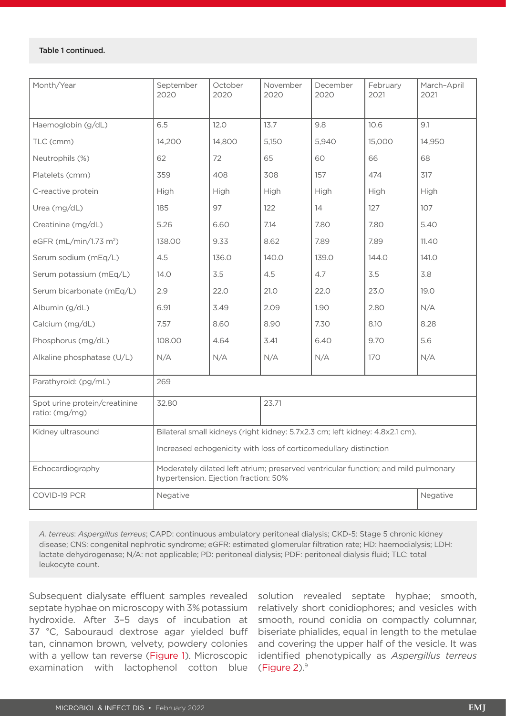#### Table 1 continued.

| Month/Year                                               | September<br>2020                                                                                                          | October<br>2020 | November<br>2020 | December<br>2020 | February<br>2021 | March-April<br>2021 |  |  |
|----------------------------------------------------------|----------------------------------------------------------------------------------------------------------------------------|-----------------|------------------|------------------|------------------|---------------------|--|--|
| Haemoglobin (g/dL)                                       | 6.5                                                                                                                        | 12.0            | 13.7             | 9.8              | 10.6             | 9.1                 |  |  |
| TLC (cmm)                                                | 14,200                                                                                                                     | 14,800          | 5,150            | 5,940            | 15,000           | 14,950              |  |  |
| Neutrophils (%)                                          | 62                                                                                                                         | 72              | 65               | 60               | 66               | 68                  |  |  |
| Platelets (cmm)                                          | 359                                                                                                                        | 408             | 308              | 157              | 474              | 317                 |  |  |
| C-reactive protein                                       | High                                                                                                                       | High            | High             | High             | High             | High                |  |  |
| Urea (mg/dL)                                             | 185                                                                                                                        | 97              | 122              | 14               | 127              | 107                 |  |  |
| Creatinine (mg/dL)                                       | 5.26                                                                                                                       | 6.60            | 7.14             | 7.80             | 7.80             | 5.40                |  |  |
| eGFR (mL/min/1.73 m <sup>2</sup> )                       | 138.00                                                                                                                     | 9.33            | 8.62             | 7.89             | 7.89             | 11.40               |  |  |
| Serum sodium (mEq/L)                                     | 4.5                                                                                                                        | 136.0           | 140.0            | 139.0            | 144.0            | 141.0               |  |  |
| Serum potassium (mEq/L)                                  | 14.0                                                                                                                       | 3.5             | 4.5              | 4.7              | 3.5              | 3.8                 |  |  |
| Serum bicarbonate (mEq/L)                                | 2.9                                                                                                                        | 22.0            | 21.0             | 22.0             | 23.0             | 19.0                |  |  |
| Albumin (g/dL)                                           | 6.91                                                                                                                       | 3.49            | 2.09             | 1.90             | 2.80             | N/A                 |  |  |
| Calcium (mg/dL)                                          | 7.57                                                                                                                       | 8.60            | 8.90             | 7.30             | 8.10             | 8.28                |  |  |
| Phosphorus (mg/dL)                                       | 108.00                                                                                                                     | 4.64            | 3.41             | 6.40             | 9.70             | 5.6                 |  |  |
| Alkaline phosphatase (U/L)                               | N/A                                                                                                                        | N/A             | N/A              | N/A              | 170              | N/A                 |  |  |
| Parathyroid: (pg/mL)                                     | 269                                                                                                                        |                 |                  |                  |                  |                     |  |  |
| Spot urine protein/creatinine<br>32.80<br>ratio: (mg/mg) |                                                                                                                            | 23.71           |                  |                  |                  |                     |  |  |
| Kidney ultrasound                                        | Bilateral small kidneys (right kidney: 5.7x2.3 cm; left kidney: 4.8x2.1 cm).                                               |                 |                  |                  |                  |                     |  |  |
|                                                          | Increased echogenicity with loss of corticomedullary distinction                                                           |                 |                  |                  |                  |                     |  |  |
| Echocardiography                                         | Moderately dilated left atrium; preserved ventricular function; and mild pulmonary<br>hypertension. Ejection fraction: 50% |                 |                  |                  |                  |                     |  |  |
| COVID-19 PCR<br>Negative                                 |                                                                                                                            |                 |                  |                  |                  | Negative            |  |  |

*A. terreus*: *Aspergillus terreus*; CAPD: continuous ambulatory peritoneal dialysis; CKD-5: Stage 5 chronic kidney disease; CNS: congenital nephrotic syndrome; eGFR: estimated glomerular filtration rate; HD: haemodialysis; LDH: lactate dehydrogenase; N/A: not applicable; PD: peritoneal dialysis; PDF: peritoneal dialysis fluid; TLC: total leukocyte count.

Subsequent dialysate effluent samples revealed septate hyphae on microscopy with 3% potassium hydroxide. After 3–5 days of incubation at 37 °C, Sabouraud dextrose agar yielded buff tan, cinnamon brown, velvety, powdery colonies with a yellow tan reverse (Figure 1). Microscopic examination with lactophenol cotton blue

solution revealed septate hyphae; smooth, relatively short conidiophores; and vesicles with smooth, round conidia on compactly columnar, biseriate phialides, equal in length to the metulae and covering the upper half of the vesicle. It was identified phenotypically as *Aspergillus terreus* (Figure  $2$ ). $9$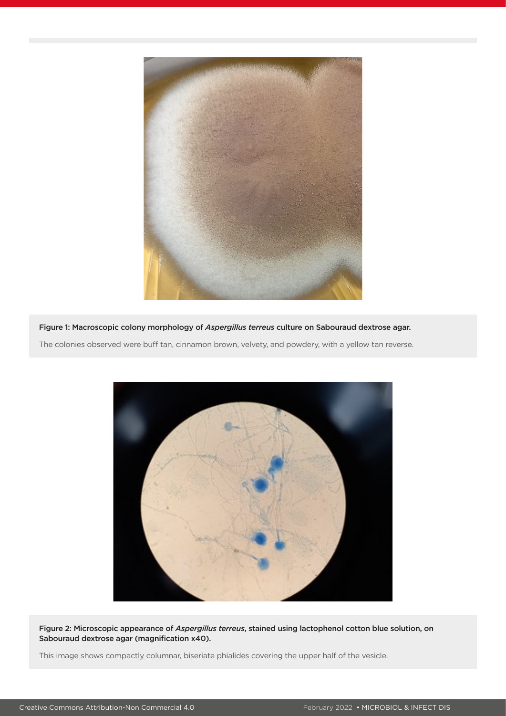

Figure 1: Macroscopic colony morphology of *Aspergillus terreus* culture on Sabouraud dextrose agar. The colonies observed were buff tan, cinnamon brown, velvety, and powdery, with a yellow tan reverse.



Figure 2: Microscopic appearance of *Aspergillus terreus*, stained using lactophenol cotton blue solution, on Sabouraud dextrose agar (magnification x40).

This image shows compactly columnar, biseriate phialides covering the upper half of the vesicle.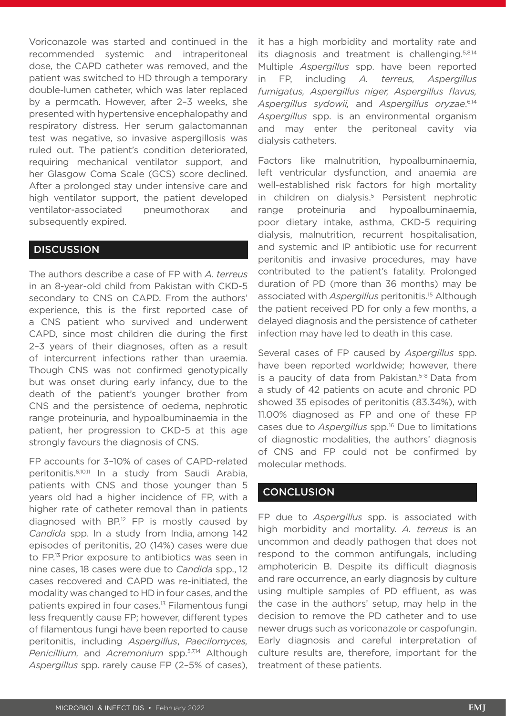Voriconazole was started and continued in the recommended systemic and intraperitoneal dose, the CAPD catheter was removed, and the patient was switched to HD through a temporary double-lumen catheter, which was later replaced by a permcath. However, after 2–3 weeks, she presented with hypertensive encephalopathy and respiratory distress. Her serum galactomannan test was negative, so invasive aspergillosis was ruled out. The patient's condition deteriorated, requiring mechanical ventilator support, and her Glasgow Coma Scale (GCS) score declined. After a prolonged stay under intensive care and high ventilator support, the patient developed ventilator-associated pneumothorax and subsequently expired.

### **DISCUSSION**

The authors describe a case of FP with *A. terreus* in an 8-year-old child from Pakistan with CKD-5 secondary to CNS on CAPD. From the authors' experience, this is the first reported case of a CNS patient who survived and underwent CAPD, since most children die during the first 2–3 years of their diagnoses, often as a result of intercurrent infections rather than uraemia. Though CNS was not confirmed genotypically but was onset during early infancy, due to the death of the patient's younger brother from CNS and the persistence of oedema, nephrotic range proteinuria, and hypoalbuminaemia in the patient, her progression to CKD-5 at this age strongly favours the diagnosis of CNS.

FP accounts for 3–10% of cases of CAPD-related peritonitis.6,10,11 In a study from Saudi Arabia, patients with CNS and those younger than 5 years old had a higher incidence of FP, with a higher rate of catheter removal than in patients diagnosed with  $BP^{12}$  FP is mostly caused by *Candida* spp. In a study from India, among 142 episodes of peritonitis, 20 (14%) cases were due to FP.13 Prior exposure to antibiotics was seen in nine cases, 18 cases were due to *Candida* spp., 12 cases recovered and CAPD was re-initiated, the modality was changed to HD in four cases, and the patients expired in four cases.13 Filamentous fungi less frequently cause FP; however, different types of filamentous fungi have been reported to cause peritonitis, including *Aspergillus*, *Paecilomyces, Penicillium,* and *Acremonium* spp.5,7,14 Although *Aspergillus* spp. rarely cause FP (2–5% of cases),

it has a high morbidity and mortality rate and its diagnosis and treatment is challenging.5,8,14 Multiple *Aspergillus* spp. have been reported in FP, including *A. terreus, Aspergillus fumigatus, Aspergillus niger, Aspergillus flavus, Aspergillus sydowii,* and *Aspergillus oryzae*. 6,14 *Aspergillus* spp. is an environmental organism and may enter the peritoneal cavity via dialysis catheters.

Factors like malnutrition, hypoalbuminaemia, left ventricular dysfunction, and anaemia are well-established risk factors for high mortality in children on dialysis.<sup>5</sup> Persistent nephrotic range proteinuria and hypoalbuminaemia, poor dietary intake, asthma, CKD-5 requiring dialysis, malnutrition, recurrent hospitalisation, and systemic and IP antibiotic use for recurrent peritonitis and invasive procedures, may have contributed to the patient's fatality. Prolonged duration of PD (more than 36 months) may be associated with *Aspergillus* peritonitis.15 Although the patient received PD for only a few months, a delayed diagnosis and the persistence of catheter infection may have led to death in this case.

Several cases of FP caused by *Aspergillus* spp. have been reported worldwide; however, there is a paucity of data from Pakistan.<sup>5-8</sup> Data from a study of 42 patients on acute and chronic PD showed 35 episodes of peritonitis (83.34%), with 11.00% diagnosed as FP and one of these FP cases due to *Aspergillus* spp.16 Due to limitations of diagnostic modalities, the authors' diagnosis of CNS and FP could not be confirmed by molecular methods.

## **CONCLUSION**

FP due to *Aspergillus* spp. is associated with high morbidity and mortality. *A. terreus* is an uncommon and deadly pathogen that does not respond to the common antifungals, including amphotericin B. Despite its difficult diagnosis and rare occurrence, an early diagnosis by culture using multiple samples of PD effluent, as was the case in the authors' setup, may help in the decision to remove the PD catheter and to use newer drugs such as voriconazole or caspofungin. Early diagnosis and careful interpretation of culture results are, therefore, important for the treatment of these patients.